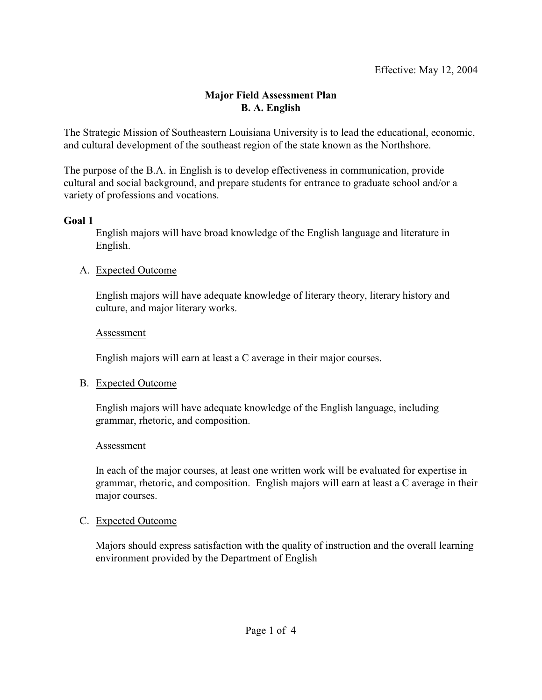## **Major Field Assessment Plan B. A. English**

The Strategic Mission of Southeastern Louisiana University is to lead the educational, economic, and cultural development of the southeast region of the state known as the Northshore.

The purpose of the B.A. in English is to develop effectiveness in communication, provide cultural and social background, and prepare students for entrance to graduate school and/or a variety of professions and vocations.

### **Goal 1**

English majors will have broad knowledge of the English language and literature in English.

### A. Expected Outcome

English majors will have adequate knowledge of literary theory, literary history and culture, and major literary works.

### Assessment

English majors will earn at least a C average in their major courses.

# B. Expected Outcome

English majors will have adequate knowledge of the English language, including grammar, rhetoric, and composition.

### Assessment

In each of the major courses, at least one written work will be evaluated for expertise in grammar, rhetoric, and composition. English majors will earn at least a C average in their major courses.

# C. Expected Outcome

Majors should express satisfaction with the quality of instruction and the overall learning environment provided by the Department of English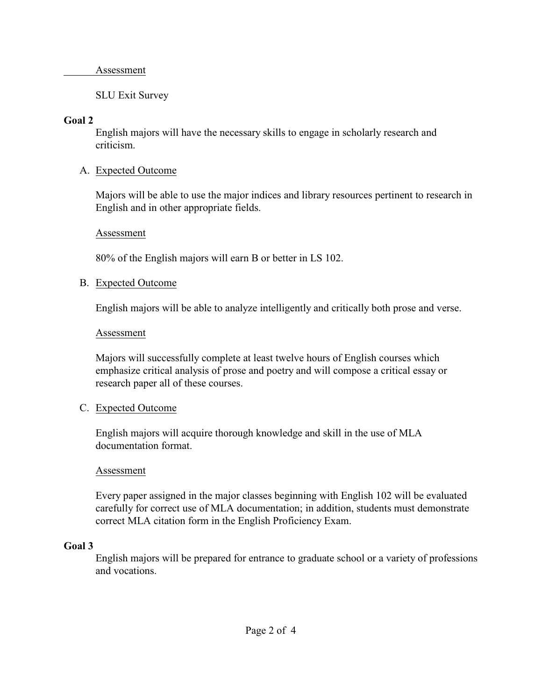#### Assessment

### SLU Exit Survey

#### **Goal 2**

English majors will have the necessary skills to engage in scholarly research and criticism.

### A. Expected Outcome

Majors will be able to use the major indices and library resources pertinent to research in English and in other appropriate fields.

#### Assessment

80% of the English majors will earn B or better in LS 102.

### B. Expected Outcome

English majors will be able to analyze intelligently and critically both prose and verse.

#### Assessment

Majors will successfully complete at least twelve hours of English courses which emphasize critical analysis of prose and poetry and will compose a critical essay or research paper all of these courses.

#### C. Expected Outcome

English majors will acquire thorough knowledge and skill in the use of MLA documentation format.

#### Assessment

Every paper assigned in the major classes beginning with English 102 will be evaluated carefully for correct use of MLA documentation; in addition, students must demonstrate correct MLA citation form in the English Proficiency Exam.

#### **Goal 3**

English majors will be prepared for entrance to graduate school or a variety of professions and vocations.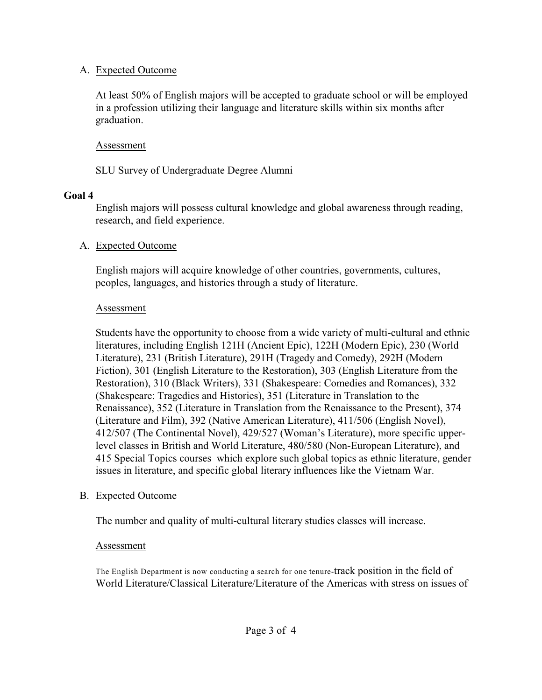### A. Expected Outcome

At least 50% of English majors will be accepted to graduate school or will be employed in a profession utilizing their language and literature skills within six months after graduation.

### Assessment

SLU Survey of Undergraduate Degree Alumni

### **Goal 4**

English majors will possess cultural knowledge and global awareness through reading, research, and field experience.

### A. Expected Outcome

English majors will acquire knowledge of other countries, governments, cultures, peoples, languages, and histories through a study of literature.

### Assessment

Students have the opportunity to choose from a wide variety of multi-cultural and ethnic literatures, including English 121H (Ancient Epic), 122H (Modern Epic), 230 (World Literature), 231 (British Literature), 291H (Tragedy and Comedy), 292H (Modern Fiction), 301 (English Literature to the Restoration), 303 (English Literature from the Restoration), 310 (Black Writers), 331 (Shakespeare: Comedies and Romances), 332 (Shakespeare: Tragedies and Histories), 351 (Literature in Translation to the Renaissance), 352 (Literature in Translation from the Renaissance to the Present), 374 (Literature and Film), 392 (Native American Literature), 411/506 (English Novel), 412/507 (The Continental Novel), 429/527 (Woman's Literature), more specific upperlevel classes in British and World Literature, 480/580 (Non-European Literature), and 415 Special Topics courses which explore such global topics as ethnic literature, gender issues in literature, and specific global literary influences like the Vietnam War.

### B. Expected Outcome

The number and quality of multi-cultural literary studies classes will increase.

### Assessment

The English Department is now conducting a search for one tenure-track position in the field of World Literature/Classical Literature/Literature of the Americas with stress on issues of